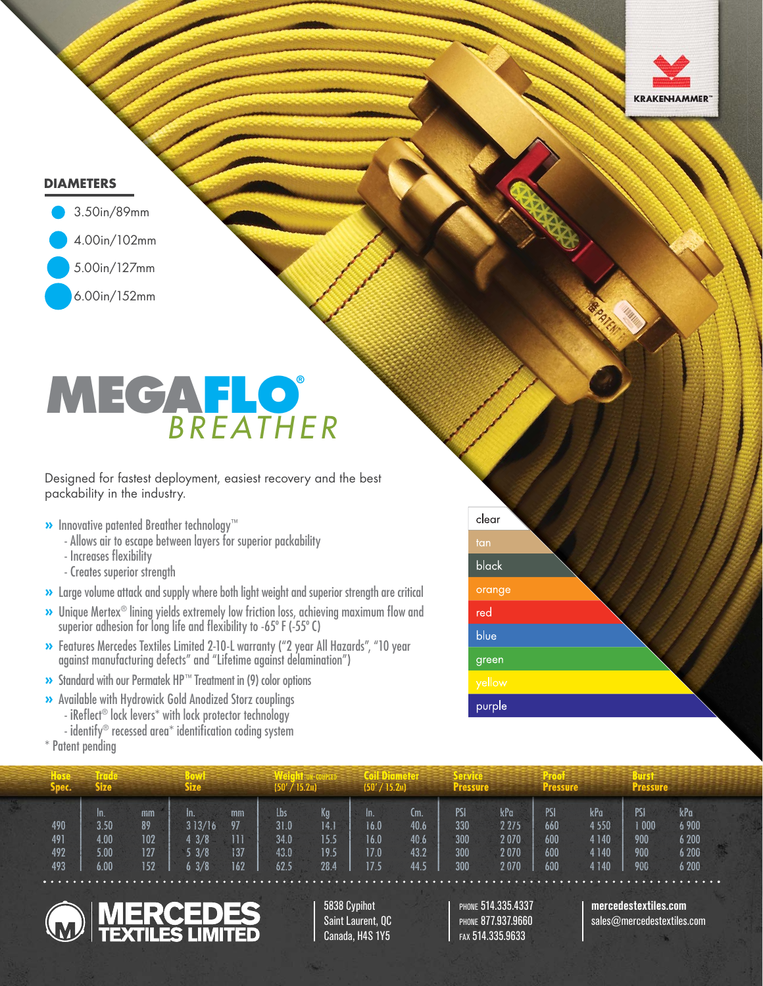

# **DIAMETERS**



# **MEGAFLO®** *BREATHER*

Designed for fastest deployment, easiest recovery and the best packability in the industry.

- **»** Innovative patented Breather technology™
	- Allows air to escape between layers for superior packability
	- Increases flexibility
	- Creates superior strength
- **»** Large volume attack and supply where both light weight and superior strength are critical
- **»** Unique Mertex<sup>®</sup> lining yields extremely low friction loss, achieving maximum flow and superior adhesion for long life and flexibility to -65° F (-55° C)
- **»** Features Mercedes Textiles Limited 2-10-L warranty ("2 year All Hazards", "10 year against manufacturing defects" and "Lifetime against delamination")
- **»** Standard with our Permatek HP™ Treatment in (9) color options
- **»** Available with Hydrowick Gold Anodized Storz couplings
	- iReflect<sup>®</sup> lock levers<sup>\*</sup> with lock protector technology
	- identify® recessed area\* identification coding system
- \* Patent pending

| clear                                          |  |
|------------------------------------------------|--|
| tan                                            |  |
| black                                          |  |
| orange                                         |  |
| red                                            |  |
| blue                                           |  |
| green                                          |  |
| $\overline{ \mathsf{y} \mathsf{e} \mathsf{v}}$ |  |
| purple                                         |  |

| spec.                    | Size                                 |                               | Size                                  |                               | (50' / 15.2m                               |                                    | 50'/15.2 <sub>M</sub>               |                                     | Pressure                        |                                        |                                 |                                                 |                                          |                                         |  |
|--------------------------|--------------------------------------|-------------------------------|---------------------------------------|-------------------------------|--------------------------------------------|------------------------------------|-------------------------------------|-------------------------------------|---------------------------------|----------------------------------------|---------------------------------|-------------------------------------------------|------------------------------------------|-----------------------------------------|--|
| 490<br>491<br>492<br>493 | In.<br>3.50<br>4.00<br>5.00.<br>6.00 | mm<br>89<br>102<br>127<br>152 | In.<br>313/16<br>3/8<br>5.3/8<br>53/8 | mm<br>97<br>111<br>137<br>162 | <b>lbs</b><br>31.0<br>34.0<br>43.0<br>62.5 | Kg<br>14.1<br>15.5<br>19.5<br>28.4 | In.<br>16.0<br>16.0<br>17.0<br>17.5 | (m.<br>40.6<br>40.6<br>43.2<br>44.5 | PSI<br>330<br>300<br>300<br>300 | kPa<br>2 2 7 5<br>2070<br>2070<br>2070 | PSI<br>660<br>600<br>600<br>600 | kPa<br>4 5 5 0<br>4 1 4 0<br>4 1 4 0<br>4 1 4 0 | PSI<br>$\sqrt{000}$<br>900<br>900<br>900 | kPa<br>6 900<br>6 200<br>6 200<br>6 200 |  |



5838 Cypihot Saint Laurent, QC Canada, H4S 1Y5

PHONE 514.335.4337 PHONE 877.937.9660 FAX 514.335.9633

# **mercedestextiles.com**

sales@mercedestextiles.com